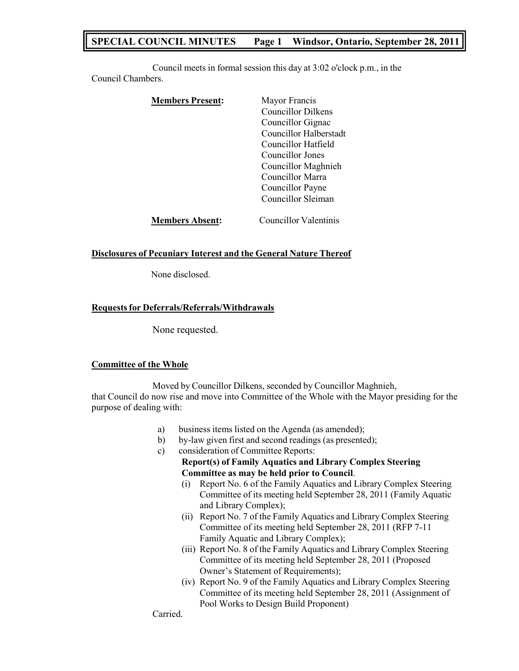## **SPECIAL COUNCIL MINUTES Page 1 Windsor, Ontario, September 28, 2011**

Council meets in formal session this day at 3:02 o'clock p.m., in the Council Chambers.

| <b>Members Present:</b> | Mayor Francis             |
|-------------------------|---------------------------|
|                         | <b>Councillor Dilkens</b> |
|                         | Councillor Gignac         |
|                         | Councillor Halberstadt    |
|                         | Councillor Hatfield       |
|                         | Councillor Jones          |
|                         | Councillor Maghnieh       |
|                         | Councillor Marra          |
|                         | Councillor Payne          |
|                         | Councillor Sleiman        |
| <b>Members Absent:</b>  | Councillor Valentinis     |

### **Disclosures of Pecuniary Interest and the General Nature Thereof**

None disclosed.

### **Requestsfor Deferrals/Referrals/Withdrawals**

None requested.

#### **Committee of the Whole**

Moved by Councillor Dilkens, seconded by Councillor Maghnieh, that Council do now rise and move into Committee of the Whole with the Mayor presiding for the purpose of dealing with:

- a) business items listed on the Agenda (as amended);
- b) by-law given first and second readings (as presented);
- c) consideration of Committee Reports: **Report(s) of Family Aquatics and Library Complex Steering Committee as may be held prior to Council**.
	- (i) Report No. 6 of the Family Aquatics and Library Complex Steering Committee of its meeting held September 28, 2011 (Family Aquatic and Library Complex);
	- (ii) Report No. 7 of the Family Aquatics and Library Complex Steering Committee of its meeting held September 28, 2011 (RFP 7-11 Family Aquatic and Library Complex);
	- (iii) Report No. 8 of the Family Aquatics and Library Complex Steering Committee of its meeting held September 28, 2011 (Proposed Owner's Statement of Requirements);
	- (iv) Report No. 9 of the Family Aquatics and Library Complex Steering Committee of its meeting held September 28, 2011 (Assignment of Pool Works to Design Build Proponent)

Carried.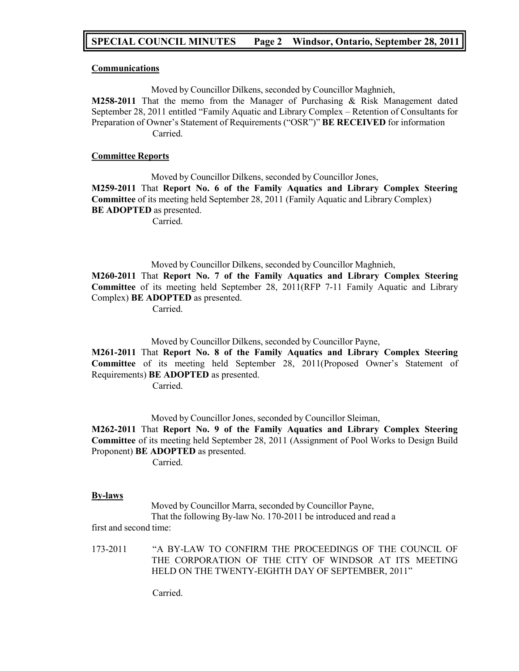## **SPECIAL COUNCIL MINUTES Page 2 Windsor, Ontario, September 28, 2011**

#### **Communications**

Moved by Councillor Dilkens, seconded by Councillor Maghnieh,

**M258-2011** That the memo from the Manager of Purchasing & Risk Management dated September 28, 2011 entitled "Family Aquatic and Library Complex – Retention of Consultants for Preparation of Owner's Statement of Requirements ("OSR")" **BE RECEIVED** for information Carried.

### **Committee Reports**

Moved by Councillor Dilkens, seconded by Councillor Jones, **M259-2011** That **Report No. 6 of the Family Aquatics and Library Complex Steering Committee** of its meeting held September 28, 2011 (Family Aquatic and Library Complex) **BE ADOPTED** as presented.

Carried.

Moved by Councillor Dilkens, seconded by Councillor Maghnieh,

**M260-2011** That **Report No. 7 of the Family Aquatics and Library Complex Steering Committee** of its meeting held September 28, 2011(RFP 7-11 Family Aquatic and Library Complex) **BE ADOPTED** as presented.

Carried.

Moved by Councillor Dilkens, seconded by Councillor Payne,

**M261-2011** That **Report No. 8 of the Family Aquatics and Library Complex Steering Committee** of its meeting held September 28, 2011(Proposed Owner's Statement of Requirements) **BE ADOPTED** as presented.

Carried.

Moved by Councillor Jones, seconded by Councillor Sleiman,

**M262-2011** That **Report No. 9 of the Family Aquatics and Library Complex Steering Committee** of its meeting held September 28, 2011 (Assignment of Pool Works to Design Build Proponent) **BE ADOPTED** as presented.

Carried.

#### **By-laws**

Moved by Councillor Marra, seconded by Councillor Payne, That the following By-law No. 170-2011 be introduced and read a

first and second time:

173-2011 "A BY-LAW TO CONFIRM THE PROCEEDINGS OF THE COUNCIL OF THE CORPORATION OF THE CITY OF WINDSOR AT ITS MEETING HELD ON THE TWENTY-EIGHTH DAY OF SEPTEMBER, 2011"

Carried.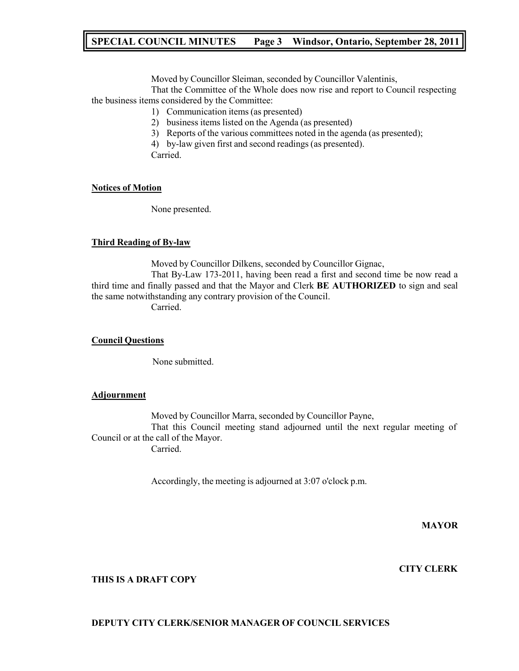## **SPECIAL COUNCIL MINUTES Page 3 Windsor, Ontario, September 28, 2011**

Moved by Councillor Sleiman, seconded by Councillor Valentinis,

That the Committee of the Whole does now rise and report to Council respecting the business items considered by the Committee:

- 1) Communication items (as presented)
- 2) business items listed on the Agenda (as presented)
- 3) Reports of the various committees noted in the agenda (as presented);
- 4) by-law given first and second readings (as presented).

Carried.

### **Notices of Motion**

None presented.

### **Third Reading of By-law**

Moved by Councillor Dilkens, seconded by Councillor Gignac, That By-Law 173-2011, having been read a first and second time be now read a third time and finally passed and that the Mayor and Clerk **BE AUTHORIZED** to sign and seal the same notwithstanding any contrary provision of the Council.

Carried.

### **Council Questions**

None submitted.

#### **Adjournment**

Moved by Councillor Marra, seconded by Councillor Payne, That this Council meeting stand adjourned until the next regular meeting of Council or at the call of the Mayor. Carried.

Accordingly, the meeting is adjourned at 3:07 o'clock p.m.

**MAYOR**

## **CITY CLERK**

### **THIS IS A DRAFT COPY**

#### **DEPUTY CITY CLERK/SENIOR MANAGER OF COUNCIL SERVICES**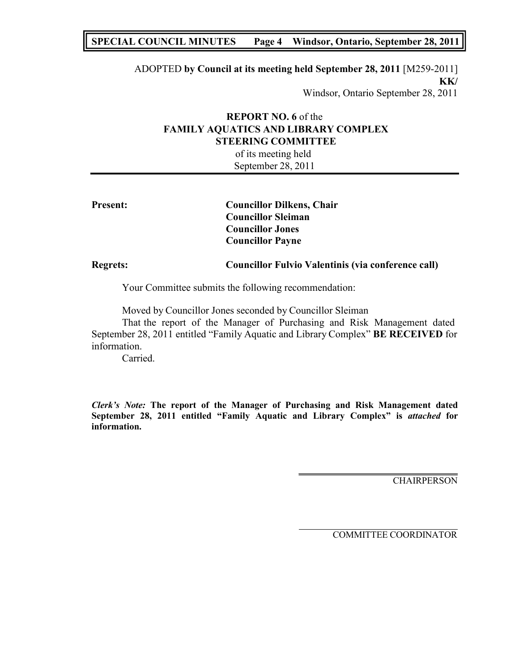## **SPECIAL COUNCIL MINUTES Page 4 Windsor, Ontario, September 28, 2011**

ADOPTED **by Council at its meeting held September 28, 2011** [M259-2011] **KK/** Windsor, Ontario September 28, 2011

## **REPORT NO. 6** of the **FAMILY AQUATICS AND LIBRARY COMPLEX STEERING COMMITTEE**

of its meeting held September 28, 2011

| <b>Present:</b> | <b>Councillor Dilkens, Chair</b><br><b>Councillor Sleiman</b> |
|-----------------|---------------------------------------------------------------|
|                 | <b>Councillor Jones</b>                                       |
|                 | <b>Councillor Payne</b>                                       |
| <b>Regrets:</b> | Councillor Fulvio Valentinis (via conference call)            |

Your Committee submits the following recommendation:

Moved by Councillor Jones seconded by Councillor Sleiman

That the report of the Manager of Purchasing and Risk Management dated September 28, 2011 entitled "Family Aquatic and Library Complex" **BE RECEIVED** for information.

Carried.

*Clerk's Note:* **The report of the Manager of Purchasing and Risk Management dated September 28, 2011 entitled "Family Aquatic and Library Complex" is** *attached* **for information.**

**CHAIRPERSON**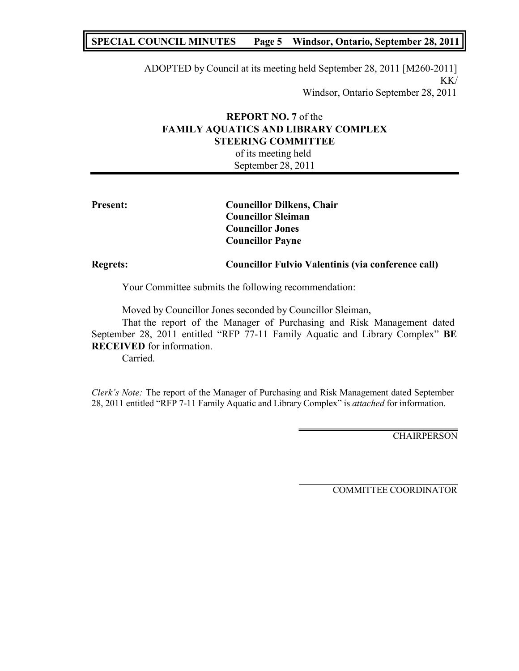## **SPECIAL COUNCIL MINUTES Page 5 Windsor, Ontario, September 28, 2011**

ADOPTED by Council at its meeting held September 28, 2011 [M260-2011] KK/

Windsor, Ontario September 28, 2011

## **REPORT NO. 7** of the **FAMILY AQUATICS AND LIBRARY COMPLEX STEERING COMMITTEE**

of its meeting held September 28, 2011

| <b>Present:</b> | <b>Councillor Dilkens, Chair</b>                     |
|-----------------|------------------------------------------------------|
|                 | <b>Councillor Sleiman</b><br><b>Councillor Jones</b> |
|                 | <b>Councillor Payne</b>                              |
| <b>Regrets:</b> | Councillor Fulvio Valentinis (via conference call)   |
|                 |                                                      |

Your Committee submits the following recommendation:

Moved by Councillor Jones seconded by Councillor Sleiman,

That the report of the Manager of Purchasing and Risk Management dated September 28, 2011 entitled "RFP 77-11 Family Aquatic and Library Complex" **BE RECEIVED** for information.

Carried.

*Clerk's Note:* The report of the Manager of Purchasing and Risk Management dated September 28, 2011 entitled "RFP 7-11 Family Aquatic and Library Complex" is *attached* for information.

**CHAIRPERSON**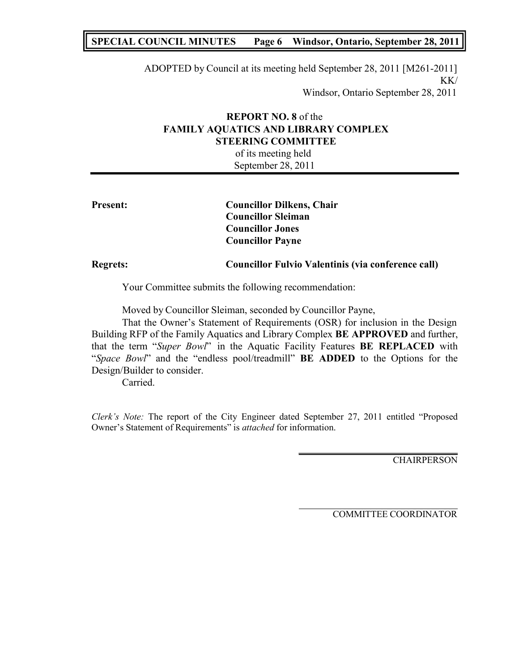## **SPECIAL COUNCIL MINUTES Page 6 Windsor, Ontario, September 28, 2011**

ADOPTED by Council at its meeting held September 28, 2011 [M261-2011] KK/

Windsor, Ontario September 28, 2011

## **REPORT NO. 8** of the **FAMILY AQUATICS AND LIBRARY COMPLEX STEERING COMMITTEE**

of its meeting held September 28, 2011

| <b>Present:</b> | <b>Councillor Dilkens, Chair</b><br><b>Councillor Sleiman</b> |
|-----------------|---------------------------------------------------------------|
|                 | <b>Councillor Jones</b><br><b>Councillor Payne</b>            |
| <b>Regrets:</b> | Councillor Fulvio Valentinis (via conference call)            |

Your Committee submits the following recommendation:

Moved by Councillor Sleiman, seconded by Councillor Payne,

That the Owner's Statement of Requirements (OSR) for inclusion in the Design Building RFP of the Family Aquatics and Library Complex **BE APPROVED** and further, that the term "*Super Bowl*" in the Aquatic Facility Features **BE REPLACED** with "*Space Bowl*" and the "endless pool/treadmill" **BE ADDED** to the Options for the Design/Builder to consider.

Carried.

*Clerk's Note:* The report of the City Engineer dated September 27, 2011 entitled "Proposed Owner's Statement of Requirements" is *attached* for information.

CHAIRPERSON